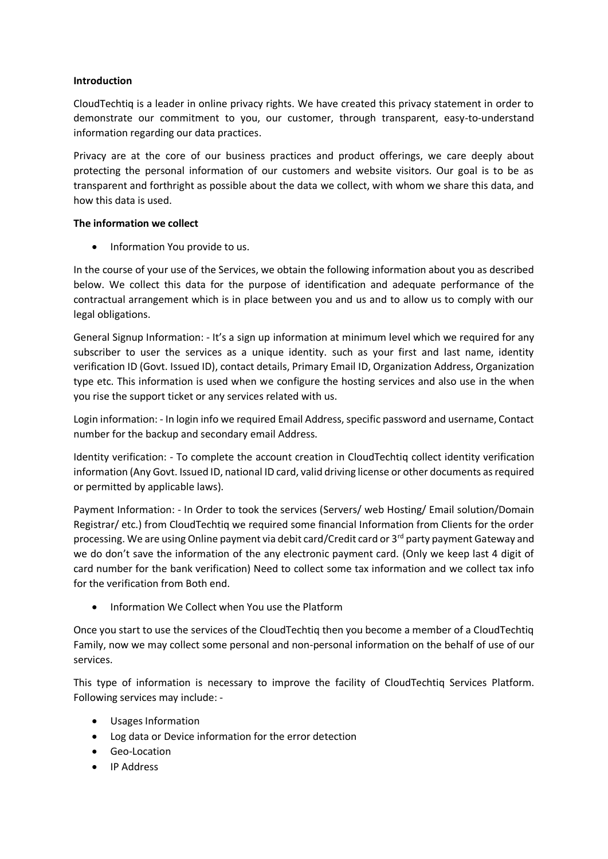# **Introduction**

CloudTechtiq is a leader in online privacy rights. We have created this privacy statement in order to demonstrate our commitment to you, our customer, through transparent, easy-to-understand information regarding our data practices.

Privacy are at the core of our business practices and product offerings, we care deeply about protecting the personal information of our customers and website visitors. Our goal is to be as transparent and forthright as possible about the data we collect, with whom we share this data, and how this data is used.

# **The information we collect**

• Information You provide to us.

In the course of your use of the Services, we obtain the following information about you as described below. We collect this data for the purpose of identification and adequate performance of the contractual arrangement which is in place between you and us and to allow us to comply with our legal obligations.

General Signup Information: - It's a sign up information at minimum level which we required for any subscriber to user the services as a unique identity. such as your first and last name, identity verification ID (Govt. Issued ID), contact details, Primary Email ID, Organization Address, Organization type etc. This information is used when we configure the hosting services and also use in the when you rise the support ticket or any services related with us.

Login information: - In login info we required Email Address, specific password and username, Contact number for the backup and secondary email Address.

Identity verification: - To complete the account creation in CloudTechtiq collect identity verification information (Any Govt. Issued ID, national ID card, valid driving license or other documents as required or permitted by applicable laws).

Payment Information: - In Order to took the services (Servers/ web Hosting/ Email solution/Domain Registrar/ etc.) from CloudTechtiq we required some financial Information from Clients for the order processing. We are using Online payment via debit card/Credit card or 3<sup>rd</sup> party payment Gateway and we do don't save the information of the any electronic payment card. (Only we keep last 4 digit of card number for the bank verification) Need to collect some tax information and we collect tax info for the verification from Both end.

Information We Collect when You use the Platform

Once you start to use the services of the CloudTechtiq then you become a member of a CloudTechtiq Family, now we may collect some personal and non-personal information on the behalf of use of our services.

This type of information is necessary to improve the facility of CloudTechtiq Services Platform. Following services may include: -

- Usages Information
- Log data or Device information for the error detection
- Geo-Location
- IP Address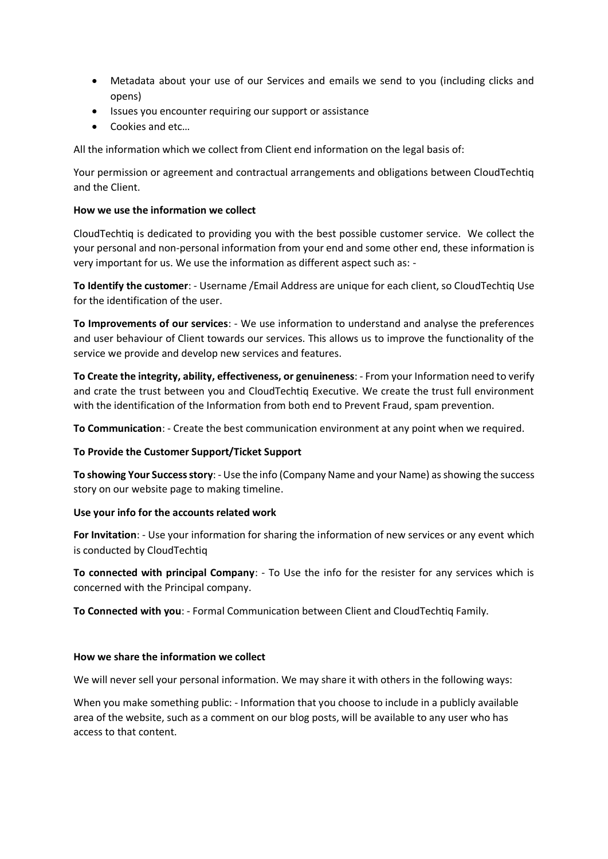- Metadata about your use of our Services and emails we send to you (including clicks and opens)
- Issues you encounter requiring our support or assistance
- Cookies and etc…

All the information which we collect from Client end information on the legal basis of:

Your permission or agreement and contractual arrangements and obligations between CloudTechtiq and the Client.

# **How we use the information we collect**

CloudTechtiq is dedicated to providing you with the best possible customer service. We collect the your personal and non-personal information from your end and some other end, these information is very important for us. We use the information as different aspect such as: -

**To Identify the customer**: - Username /Email Address are unique for each client, so CloudTechtiq Use for the identification of the user.

**To Improvements of our services**: - We use information to understand and analyse the preferences and user behaviour of Client towards our services. This allows us to improve the functionality of the service we provide and develop new services and features.

**To Create the integrity, ability, effectiveness, or genuineness**: - From your Information need to verify and crate the trust between you and CloudTechtiq Executive. We create the trust full environment with the identification of the Information from both end to Prevent Fraud, spam prevention.

**To Communication**: - Create the best communication environment at any point when we required.

# **To Provide the Customer Support/Ticket Support**

**To showing Your Success story**: - Use the info (Company Name and your Name) as showing the success story on our website page to making timeline.

### **Use your info for the accounts related work**

**For Invitation**: - Use your information for sharing the information of new services or any event which is conducted by CloudTechtiq

**To connected with principal Company**: - To Use the info for the resister for any services which is concerned with the Principal company.

**To Connected with you**: - Formal Communication between Client and CloudTechtiq Family.

### **How we share the information we collect**

We will never sell your personal information. We may share it with others in the following ways:

When you make something public: - Information that you choose to include in a publicly available area of the website, such as a comment on our blog posts, will be available to any user who has access to that content.